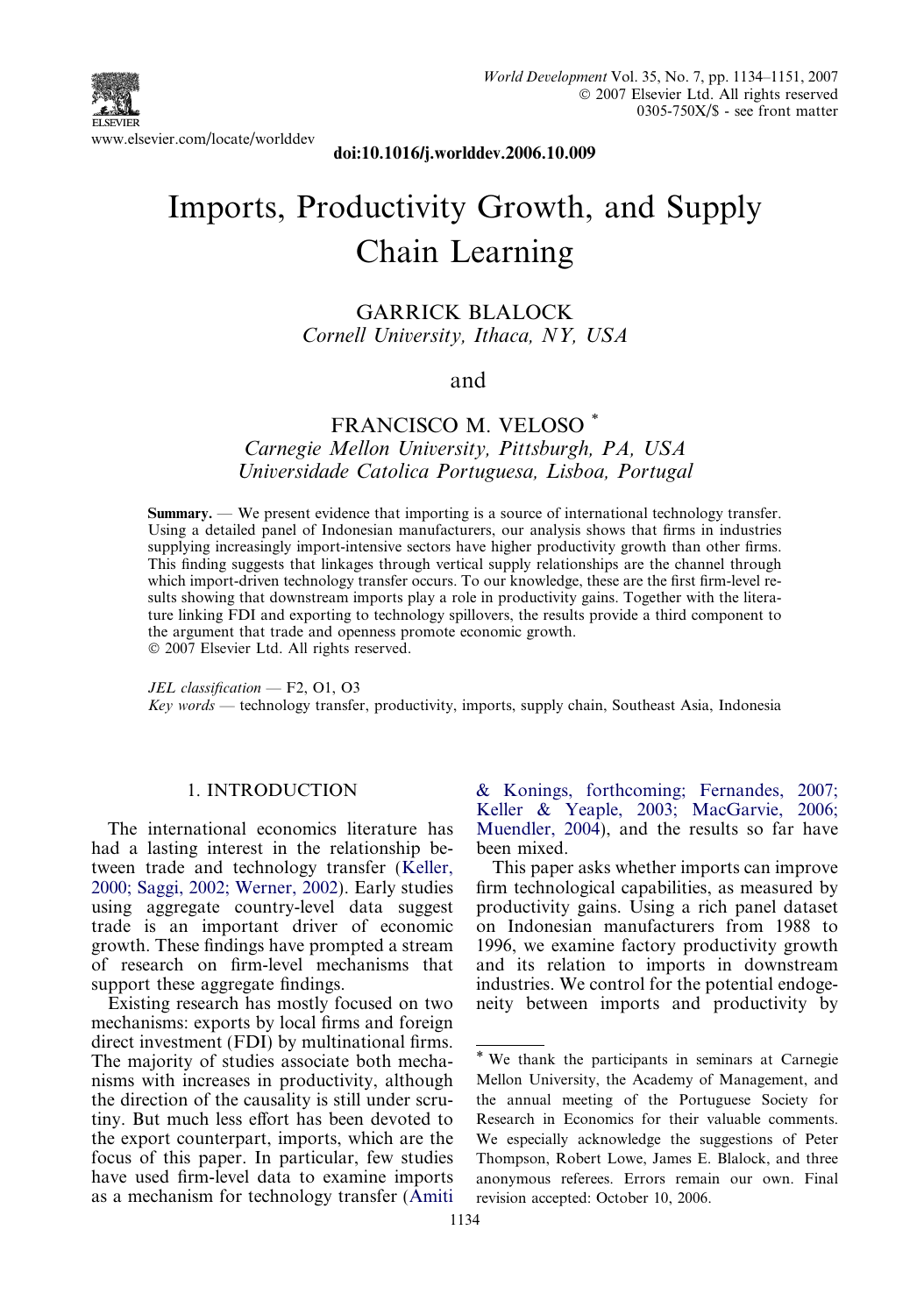

doi:10.1016/j.worlddev.2006.10.009

# Imports, Productivity Growth, and Supply Chain Learning

GARRICK BLALOCK Cornell University, Ithaca, NY, USA

#### and

### FRANCISCO M. VELOSO \*

Carnegie Mellon University, Pittsburgh, PA, USA Universidade Catolica Portuguesa, Lisboa, Portugal

Summary. — We present evidence that importing is a source of international technology transfer. Using a detailed panel of Indonesian manufacturers, our analysis shows that firms in industries supplying increasingly import-intensive sectors have higher productivity growth than other firms. This finding suggests that linkages through vertical supply relationships are the channel through which import-driven technology transfer occurs. To our knowledge, these are the first firm-level results showing that downstream imports play a role in productivity gains. Together with the literature linking FDI and exporting to technology spillovers, the results provide a third component to the argument that trade and openness promote economic growth.  $© 2007 Elsevier Ltd. All rights reserved.$ 

JEL classification — F2, O1, O3  $Key words$  — technology transfer, productivity, imports, supply chain, Southeast Asia, Indonesia

#### 1. INTRODUCTION

The international economics literature has had a lasting interest in the relationship between trade and technology transfer [\(Keller,](#page--1-0) [2000; Saggi, 2002; Werner, 2002\)](#page--1-0). Early studies using aggregate country-level data suggest trade is an important driver of economic growth. These findings have prompted a stream of research on firm-level mechanisms that support these aggregate findings.

Existing research has mostly focused on two mechanisms: exports by local firms and foreign direct investment (FDI) by multinational firms. The majority of studies associate both mechanisms with increases in productivity, although the direction of the causality is still under scrutiny. But much less effort has been devoted to the export counterpart, imports, which are the focus of this paper. In particular, few studies have used firm-level data to examine imports as a mechanism for technology transfer [\(Amiti](#page--1-0) [& Konings, forthcoming; Fernandes, 2007;](#page--1-0) [Keller & Yeaple, 2003; MacGarvie, 2006;](#page--1-0) [Muendler, 2004\)](#page--1-0), and the results so far have been mixed.

This paper asks whether imports can improve firm technological capabilities, as measured by productivity gains. Using a rich panel dataset on Indonesian manufacturers from 1988 to 1996, we examine factory productivity growth and its relation to imports in downstream industries. We control for the potential endogeneity between imports and productivity by

<sup>\*</sup> We thank the participants in seminars at Carnegie Mellon University, the Academy of Management, and the annual meeting of the Portuguese Society for Research in Economics for their valuable comments. We especially acknowledge the suggestions of Peter Thompson, Robert Lowe, James E. Blalock, and three anonymous referees. Errors remain our own. Final revision accepted: October 10, 2006.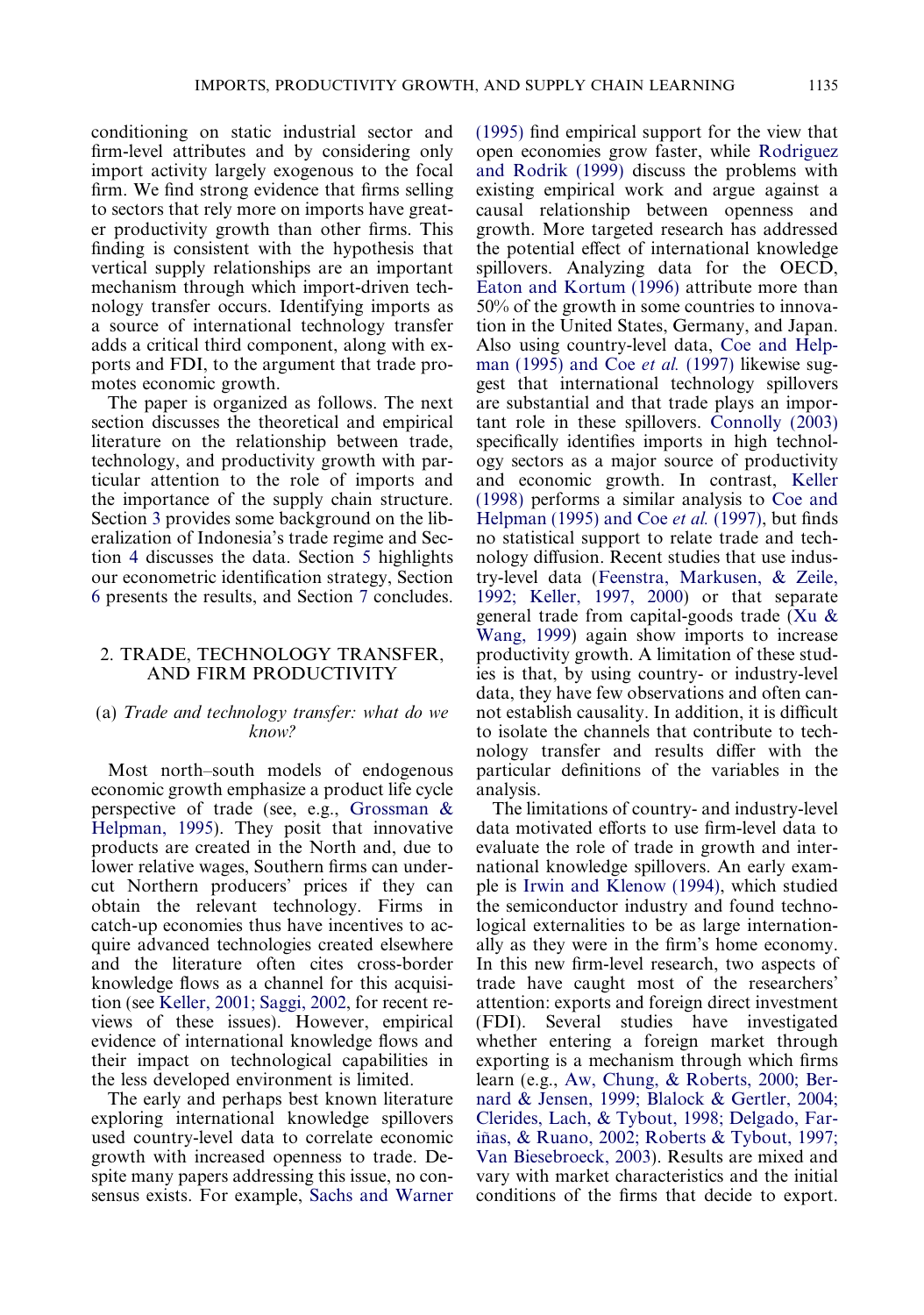conditioning on static industrial sector and firm-level attributes and by considering only import activity largely exogenous to the focal firm. We find strong evidence that firms selling to sectors that rely more on imports have greater productivity growth than other firms. This finding is consistent with the hypothesis that vertical supply relationships are an important mechanism through which import-driven technology transfer occurs. Identifying imports as a source of international technology transfer adds a critical third component, along with exports and FDI, to the argument that trade promotes economic growth.

The paper is organized as follows. The next section discusses the theoretical and empirical literature on the relationship between trade, technology, and productivity growth with particular attention to the role of imports and the importance of the supply chain structure. Section 3 provides some background on the liberalization of Indonesia's trade regime and Section 4 discusses the data. Section 5 highlights our econometric identification strategy, Section 6 presents the results, and Section 7 concludes.

#### 2. TRADE, TECHNOLOGY TRANSFER, AND FIRM PRODUCTIVITY

#### (a) Trade and technology transfer: what do we know?

Most north–south models of endogenous economic growth emphasize a product life cycle perspective of trade (see, e.g., [Grossman &](#page--1-0) [Helpman, 1995\)](#page--1-0). They posit that innovative products are created in the North and, due to lower relative wages, Southern firms can undercut Northern producers' prices if they can obtain the relevant technology. Firms in catch-up economies thus have incentives to acquire advanced technologies created elsewhere and the literature often cites cross-border knowledge flows as a channel for this acquisition (see [Keller, 2001; Saggi, 2002,](#page--1-0) for recent reviews of these issues). However, empirical evidence of international knowledge flows and their impact on technological capabilities in the less developed environment is limited.

The early and perhaps best known literature exploring international knowledge spillovers used country-level data to correlate economic growth with increased openness to trade. Despite many papers addressing this issue, no consensus exists. For example, [Sachs and Warner](#page--1-0)

[\(1995\)](#page--1-0) find empirical support for the view that open economies grow faster, while [Rodriguez](#page--1-0) [and Rodrik \(1999\)](#page--1-0) discuss the problems with existing empirical work and argue against a causal relationship between openness and growth. More targeted research has addressed the potential effect of international knowledge spillovers. Analyzing data for the OECD, [Eaton and Kortum \(1996\)](#page--1-0) attribute more than 50% of the growth in some countries to innovation in the United States, Germany, and Japan. Also using country-level data, [Coe and Help](#page--1-0)[man \(1995\) and Coe](#page--1-0) et al. (1997) likewise suggest that international technology spillovers are substantial and that trade plays an important role in these spillovers. [Connolly \(2003\)](#page--1-0) specifically identifies imports in high technology sectors as a major source of productivity and economic growth. In contrast, [Keller](#page--1-0) [\(1998\)](#page--1-0) performs a similar analysis to [Coe and](#page--1-0) [Helpman \(1995\) and Coe](#page--1-0) *et al.* (1997), but finds no statistical support to relate trade and technology diffusion. Recent studies that use industry-level data ([Feenstra, Markusen, & Zeile,](#page--1-0) [1992; Keller, 1997, 2000\)](#page--1-0) or that separate general trade from capital-goods trade ([Xu &](#page--1-0) [Wang, 1999\)](#page--1-0) again show imports to increase productivity growth. A limitation of these studies is that, by using country- or industry-level data, they have few observations and often cannot establish causality. In addition, it is difficult to isolate the channels that contribute to technology transfer and results differ with the particular definitions of the variables in the analysis.

The limitations of country- and industry-level data motivated efforts to use firm-level data to evaluate the role of trade in growth and international knowledge spillovers. An early example is [Irwin and Klenow \(1994\)](#page--1-0), which studied the semiconductor industry and found technological externalities to be as large internationally as they were in the firm's home economy. In this new firm-level research, two aspects of trade have caught most of the researchers' attention: exports and foreign direct investment (FDI). Several studies have investigated whether entering a foreign market through exporting is a mechanism through which firms learn (e.g., [Aw, Chung, & Roberts, 2000; Ber](#page--1-0)[nard & Jensen, 1999; Blalock & Gertler, 2004;](#page--1-0) [Clerides, Lach, & Tybout, 1998; Delgado, Far](#page--1-0)iñas, & Ruano, 2002; Roberts & Tybout, 1997; [Van Biesebroeck, 2003\)](#page--1-0). Results are mixed and vary with market characteristics and the initial conditions of the firms that decide to export.